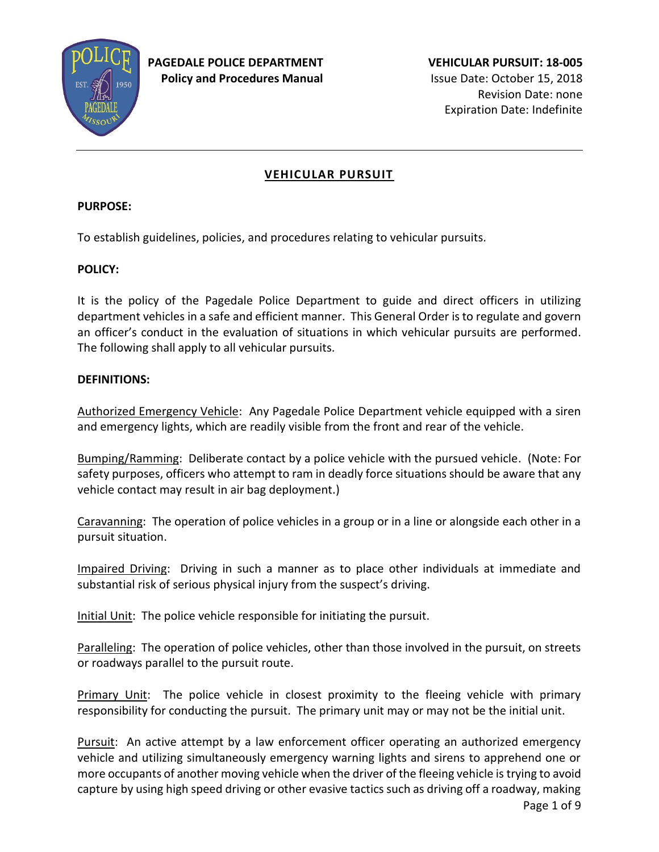

# **VEHICULAR PURSUIT**

### **PURPOSE:**

To establish guidelines, policies, and procedures relating to vehicular pursuits.

## **POLICY:**

It is the policy of the Pagedale Police Department to guide and direct officers in utilizing department vehicles in a safe and efficient manner. This General Order is to regulate and govern an officer's conduct in the evaluation of situations in which vehicular pursuits are performed. The following shall apply to all vehicular pursuits.

### **DEFINITIONS:**

Authorized Emergency Vehicle: Any Pagedale Police Department vehicle equipped with a siren and emergency lights, which are readily visible from the front and rear of the vehicle.

Bumping/Ramming: Deliberate contact by a police vehicle with the pursued vehicle. (Note: For safety purposes, officers who attempt to ram in deadly force situations should be aware that any vehicle contact may result in air bag deployment.)

Caravanning: The operation of police vehicles in a group or in a line or alongside each other in a pursuit situation.

Impaired Driving: Driving in such a manner as to place other individuals at immediate and substantial risk of serious physical injury from the suspect's driving.

Initial Unit: The police vehicle responsible for initiating the pursuit.

Paralleling: The operation of police vehicles, other than those involved in the pursuit, on streets or roadways parallel to the pursuit route.

Primary Unit: The police vehicle in closest proximity to the fleeing vehicle with primary responsibility for conducting the pursuit. The primary unit may or may not be the initial unit.

Pursuit: An active attempt by a law enforcement officer operating an authorized emergency vehicle and utilizing simultaneously emergency warning lights and sirens to apprehend one or more occupants of another moving vehicle when the driver of the fleeing vehicle is trying to avoid capture by using high speed driving or other evasive tactics such as driving off a roadway, making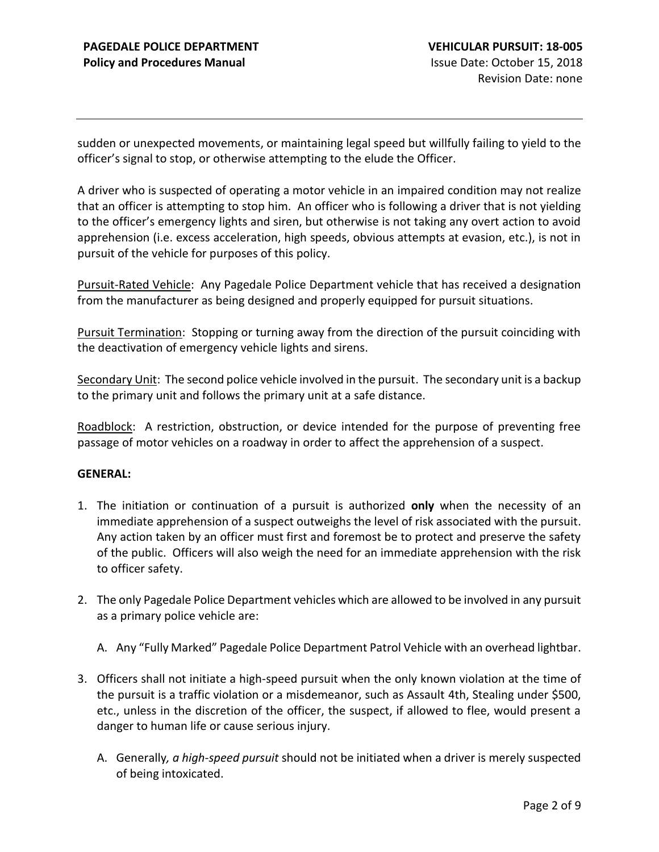sudden or unexpected movements, or maintaining legal speed but willfully failing to yield to the officer's signal to stop, or otherwise attempting to the elude the Officer.

A driver who is suspected of operating a motor vehicle in an impaired condition may not realize that an officer is attempting to stop him. An officer who is following a driver that is not yielding to the officer's emergency lights and siren, but otherwise is not taking any overt action to avoid apprehension (i.e. excess acceleration, high speeds, obvious attempts at evasion, etc.), is not in pursuit of the vehicle for purposes of this policy.

Pursuit-Rated Vehicle: Any Pagedale Police Department vehicle that has received a designation from the manufacturer as being designed and properly equipped for pursuit situations.

Pursuit Termination: Stopping or turning away from the direction of the pursuit coinciding with the deactivation of emergency vehicle lights and sirens.

Secondary Unit: The second police vehicle involved in the pursuit. The secondary unit is a backup to the primary unit and follows the primary unit at a safe distance.

Roadblock: A restriction, obstruction, or device intended for the purpose of preventing free passage of motor vehicles on a roadway in order to affect the apprehension of a suspect.

#### **GENERAL:**

- 1. The initiation or continuation of a pursuit is authorized **only** when the necessity of an immediate apprehension of a suspect outweighs the level of risk associated with the pursuit. Any action taken by an officer must first and foremost be to protect and preserve the safety of the public. Officers will also weigh the need for an immediate apprehension with the risk to officer safety.
- 2. The only Pagedale Police Department vehicles which are allowed to be involved in any pursuit as a primary police vehicle are:
	- A. Any "Fully Marked" Pagedale Police Department Patrol Vehicle with an overhead lightbar.
- 3. Officers shall not initiate a high-speed pursuit when the only known violation at the time of the pursuit is a traffic violation or a misdemeanor, such as Assault 4th, Stealing under \$500, etc., unless in the discretion of the officer, the suspect, if allowed to flee, would present a danger to human life or cause serious injury.
	- A. Generally*, a high-speed pursuit* should not be initiated when a driver is merely suspected of being intoxicated.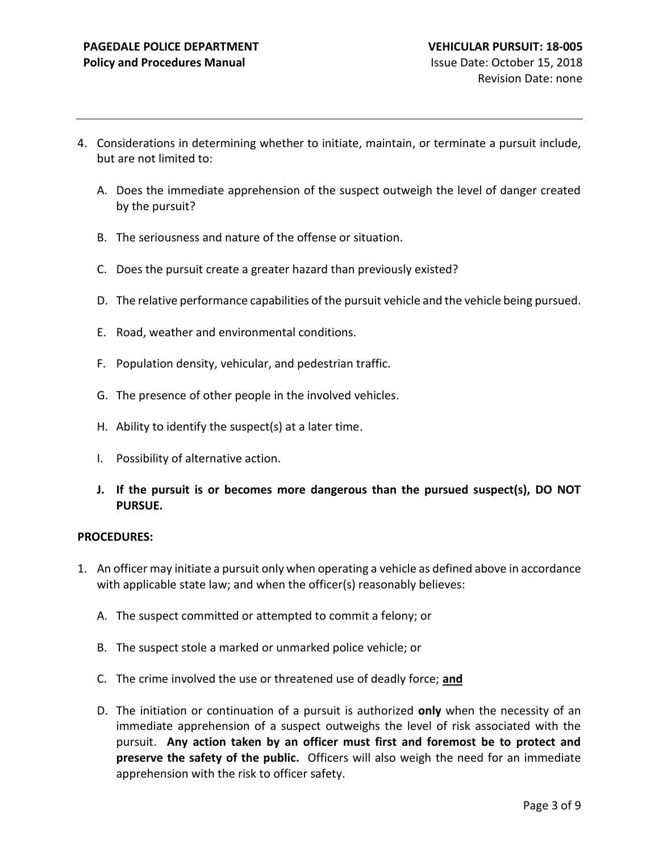- 4. Considerations in determining whether to initiate, maintain, or terminate a pursuit include, but are not limited to:
	- A. Does the immediate apprehension of the suspect outweigh the level of danger created by the pursuit?
	- B. The seriousness and nature of the offense or situation.
	- C. Does the pursuit create a greater hazard than previously existed?
	- D. The relative performance capabilities of the pursuit vehicle and the vehicle being pursued.
	- E. Road, weather and environmental conditions.
	- F. Population density, vehicular, and pedestrian traffic.
	- G. The presence of other people in the involved vehicles.
	- H. Ability to identify the suspect(s) at a later time.
	- I. Possibility of alternative action.
	- **J. If the pursuit is or becomes more dangerous than the pursued suspect(s), DO NOT PURSUE.**

#### **PROCEDURES:**

- 1. An officer may initiate a pursuit only when operating a vehicle as defined above in accordance with applicable state law; and when the officer(s) reasonably believes:
	- A. The suspect committed or attempted to commit a felony; or
	- B. The suspect stole a marked or unmarked police vehicle; or
	- C. The crime involved the use or threatened use of deadly force; **and**
	- D. The initiation or continuation of a pursuit is authorized **only** when the necessity of an immediate apprehension of a suspect outweighs the level of risk associated with the pursuit. **Any action taken by an officer must first and foremost be to protect and preserve the safety of the public.** Officers will also weigh the need for an immediate apprehension with the risk to officer safety.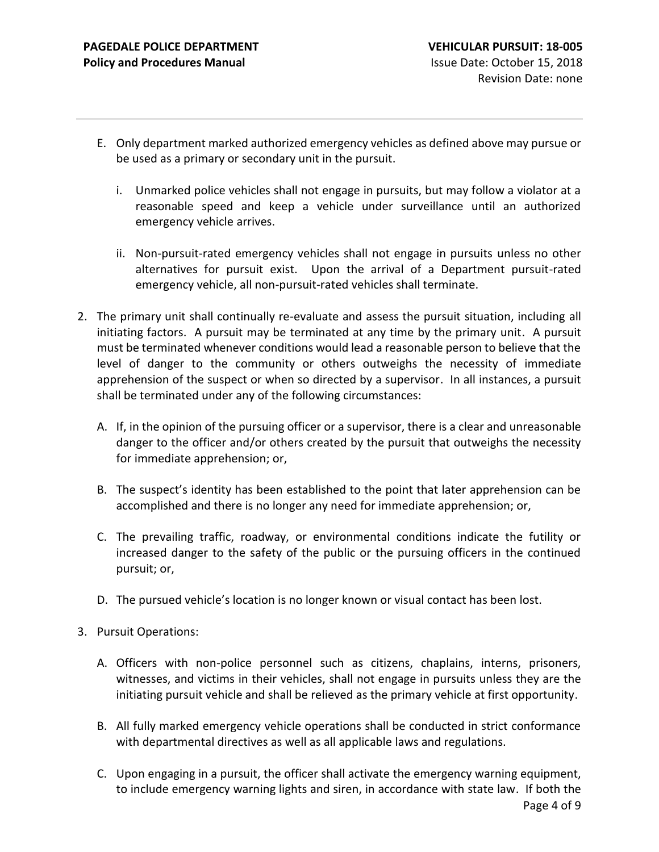- E. Only department marked authorized emergency vehicles as defined above may pursue or be used as a primary or secondary unit in the pursuit.
	- i. Unmarked police vehicles shall not engage in pursuits, but may follow a violator at a reasonable speed and keep a vehicle under surveillance until an authorized emergency vehicle arrives.
	- ii. Non-pursuit-rated emergency vehicles shall not engage in pursuits unless no other alternatives for pursuit exist. Upon the arrival of a Department pursuit-rated emergency vehicle, all non-pursuit-rated vehicles shall terminate.
- 2. The primary unit shall continually re-evaluate and assess the pursuit situation, including all initiating factors. A pursuit may be terminated at any time by the primary unit. A pursuit must be terminated whenever conditions would lead a reasonable person to believe that the level of danger to the community or others outweighs the necessity of immediate apprehension of the suspect or when so directed by a supervisor. In all instances, a pursuit shall be terminated under any of the following circumstances:
	- A. If, in the opinion of the pursuing officer or a supervisor, there is a clear and unreasonable danger to the officer and/or others created by the pursuit that outweighs the necessity for immediate apprehension; or,
	- B. The suspect's identity has been established to the point that later apprehension can be accomplished and there is no longer any need for immediate apprehension; or,
	- C. The prevailing traffic, roadway, or environmental conditions indicate the futility or increased danger to the safety of the public or the pursuing officers in the continued pursuit; or,
	- D. The pursued vehicle's location is no longer known or visual contact has been lost.
- 3. Pursuit Operations:
	- A. Officers with non-police personnel such as citizens, chaplains, interns, prisoners, witnesses, and victims in their vehicles, shall not engage in pursuits unless they are the initiating pursuit vehicle and shall be relieved as the primary vehicle at first opportunity.
	- B. All fully marked emergency vehicle operations shall be conducted in strict conformance with departmental directives as well as all applicable laws and regulations.
	- C. Upon engaging in a pursuit, the officer shall activate the emergency warning equipment, to include emergency warning lights and siren, in accordance with state law. If both the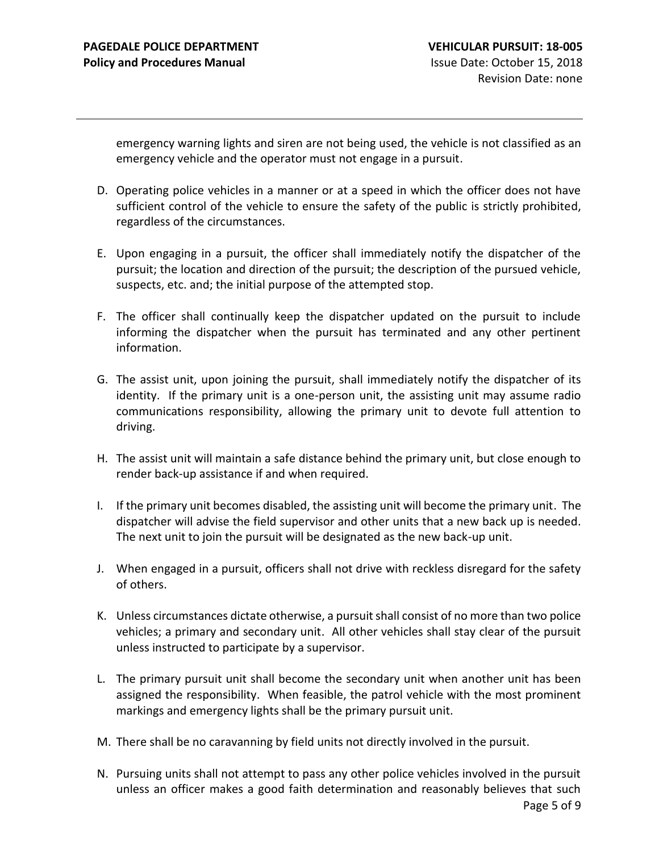emergency warning lights and siren are not being used, the vehicle is not classified as an emergency vehicle and the operator must not engage in a pursuit.

- D. Operating police vehicles in a manner or at a speed in which the officer does not have sufficient control of the vehicle to ensure the safety of the public is strictly prohibited, regardless of the circumstances.
- E. Upon engaging in a pursuit, the officer shall immediately notify the dispatcher of the pursuit; the location and direction of the pursuit; the description of the pursued vehicle, suspects, etc. and; the initial purpose of the attempted stop.
- F. The officer shall continually keep the dispatcher updated on the pursuit to include informing the dispatcher when the pursuit has terminated and any other pertinent information.
- G. The assist unit, upon joining the pursuit, shall immediately notify the dispatcher of its identity. If the primary unit is a one-person unit, the assisting unit may assume radio communications responsibility, allowing the primary unit to devote full attention to driving.
- H. The assist unit will maintain a safe distance behind the primary unit, but close enough to render back-up assistance if and when required.
- I. If the primary unit becomes disabled, the assisting unit will become the primary unit. The dispatcher will advise the field supervisor and other units that a new back up is needed. The next unit to join the pursuit will be designated as the new back-up unit.
- J. When engaged in a pursuit, officers shall not drive with reckless disregard for the safety of others.
- K. Unless circumstances dictate otherwise, a pursuit shall consist of no more than two police vehicles; a primary and secondary unit. All other vehicles shall stay clear of the pursuit unless instructed to participate by a supervisor.
- L. The primary pursuit unit shall become the secondary unit when another unit has been assigned the responsibility. When feasible, the patrol vehicle with the most prominent markings and emergency lights shall be the primary pursuit unit.
- M. There shall be no caravanning by field units not directly involved in the pursuit.
- N. Pursuing units shall not attempt to pass any other police vehicles involved in the pursuit unless an officer makes a good faith determination and reasonably believes that such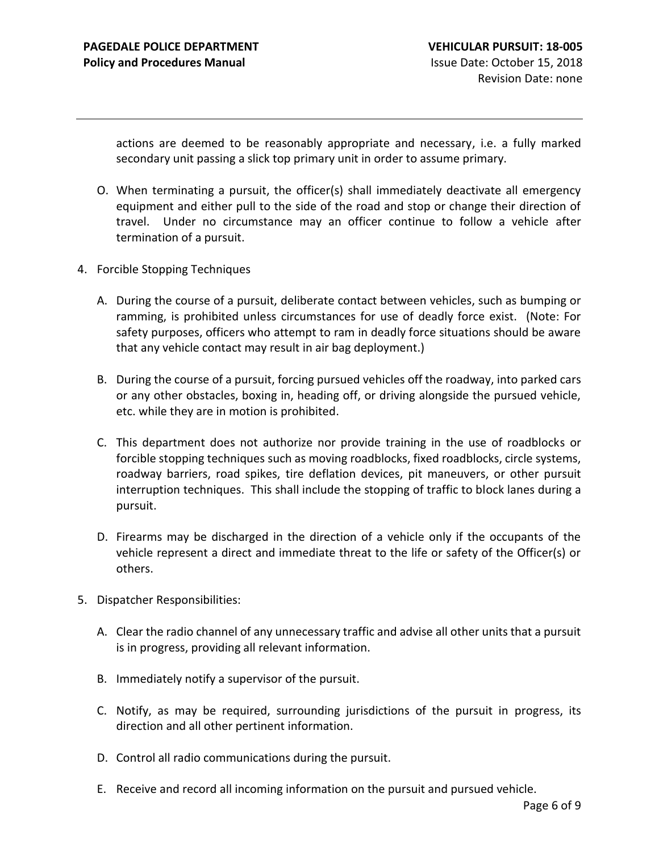actions are deemed to be reasonably appropriate and necessary, i.e. a fully marked secondary unit passing a slick top primary unit in order to assume primary.

- O. When terminating a pursuit, the officer(s) shall immediately deactivate all emergency equipment and either pull to the side of the road and stop or change their direction of travel. Under no circumstance may an officer continue to follow a vehicle after termination of a pursuit.
- 4. Forcible Stopping Techniques
	- A. During the course of a pursuit, deliberate contact between vehicles, such as bumping or ramming, is prohibited unless circumstances for use of deadly force exist. (Note: For safety purposes, officers who attempt to ram in deadly force situations should be aware that any vehicle contact may result in air bag deployment.)
	- B. During the course of a pursuit, forcing pursued vehicles off the roadway, into parked cars or any other obstacles, boxing in, heading off, or driving alongside the pursued vehicle, etc. while they are in motion is prohibited.
	- C. This department does not authorize nor provide training in the use of roadblocks or forcible stopping techniques such as moving roadblocks, fixed roadblocks, circle systems, roadway barriers, road spikes, tire deflation devices, pit maneuvers, or other pursuit interruption techniques. This shall include the stopping of traffic to block lanes during a pursuit.
	- D. Firearms may be discharged in the direction of a vehicle only if the occupants of the vehicle represent a direct and immediate threat to the life or safety of the Officer(s) or others.
- 5. Dispatcher Responsibilities:
	- A. Clear the radio channel of any unnecessary traffic and advise all other units that a pursuit is in progress, providing all relevant information.
	- B. Immediately notify a supervisor of the pursuit.
	- C. Notify, as may be required, surrounding jurisdictions of the pursuit in progress, its direction and all other pertinent information.
	- D. Control all radio communications during the pursuit.
	- E. Receive and record all incoming information on the pursuit and pursued vehicle.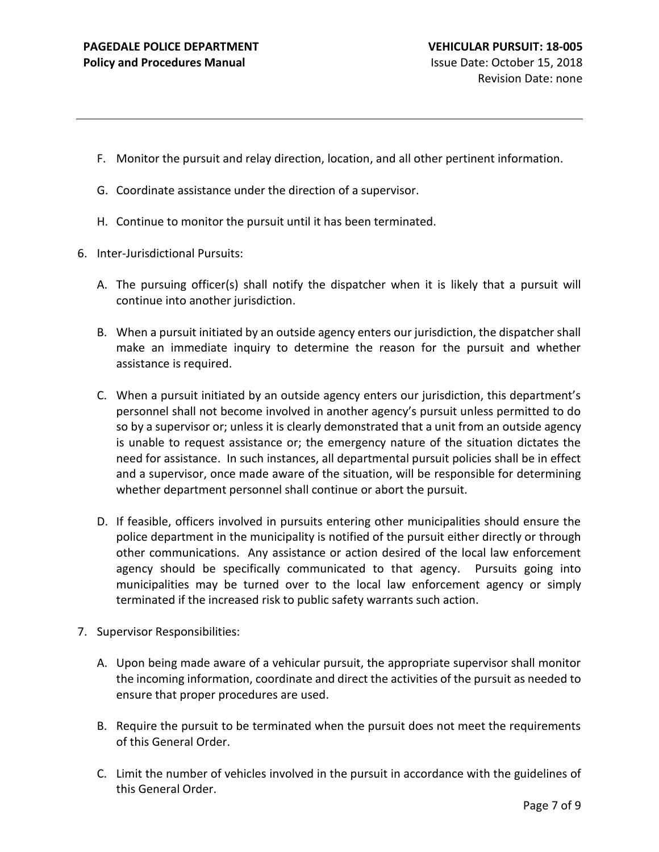- F. Monitor the pursuit and relay direction, location, and all other pertinent information.
- G. Coordinate assistance under the direction of a supervisor.
- H. Continue to monitor the pursuit until it has been terminated.
- 6. Inter-Jurisdictional Pursuits:
	- A. The pursuing officer(s) shall notify the dispatcher when it is likely that a pursuit will continue into another jurisdiction.
	- B. When a pursuit initiated by an outside agency enters our jurisdiction, the dispatcher shall make an immediate inquiry to determine the reason for the pursuit and whether assistance is required.
	- C. When a pursuit initiated by an outside agency enters our jurisdiction, this department's personnel shall not become involved in another agency's pursuit unless permitted to do so by a supervisor or; unless it is clearly demonstrated that a unit from an outside agency is unable to request assistance or; the emergency nature of the situation dictates the need for assistance. In such instances, all departmental pursuit policies shall be in effect and a supervisor, once made aware of the situation, will be responsible for determining whether department personnel shall continue or abort the pursuit.
	- D. If feasible, officers involved in pursuits entering other municipalities should ensure the police department in the municipality is notified of the pursuit either directly or through other communications. Any assistance or action desired of the local law enforcement agency should be specifically communicated to that agency. Pursuits going into municipalities may be turned over to the local law enforcement agency or simply terminated if the increased risk to public safety warrants such action.
- 7. Supervisor Responsibilities:
	- A. Upon being made aware of a vehicular pursuit, the appropriate supervisor shall monitor the incoming information, coordinate and direct the activities of the pursuit as needed to ensure that proper procedures are used.
	- B. Require the pursuit to be terminated when the pursuit does not meet the requirements of this General Order.
	- C. Limit the number of vehicles involved in the pursuit in accordance with the guidelines of this General Order.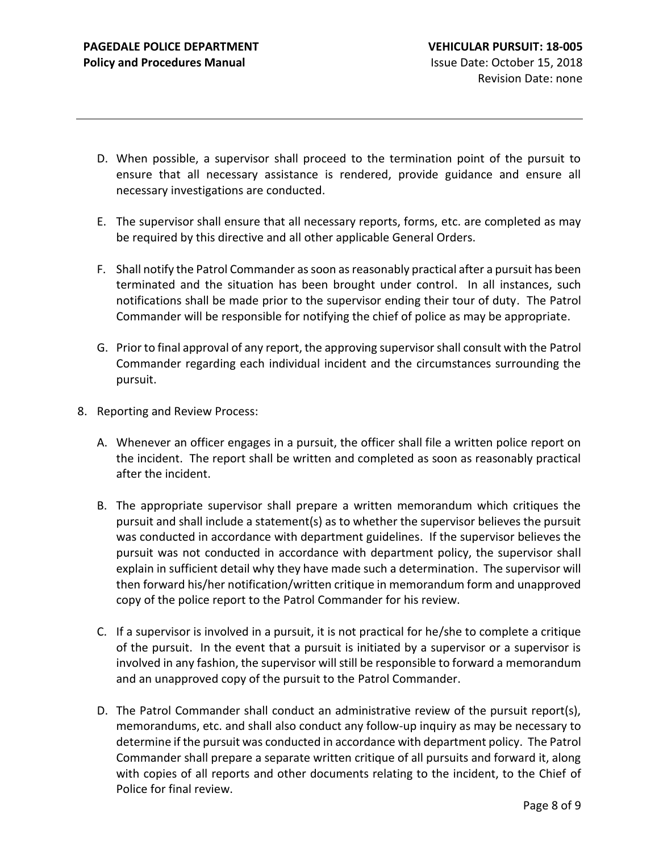- D. When possible, a supervisor shall proceed to the termination point of the pursuit to ensure that all necessary assistance is rendered, provide guidance and ensure all necessary investigations are conducted.
- E. The supervisor shall ensure that all necessary reports, forms, etc. are completed as may be required by this directive and all other applicable General Orders.
- F. Shall notify the Patrol Commander as soon as reasonably practical after a pursuit has been terminated and the situation has been brought under control. In all instances, such notifications shall be made prior to the supervisor ending their tour of duty. The Patrol Commander will be responsible for notifying the chief of police as may be appropriate.
- G. Prior to final approval of any report, the approving supervisor shall consult with the Patrol Commander regarding each individual incident and the circumstances surrounding the pursuit.
- 8. Reporting and Review Process:
	- A. Whenever an officer engages in a pursuit, the officer shall file a written police report on the incident. The report shall be written and completed as soon as reasonably practical after the incident.
	- B. The appropriate supervisor shall prepare a written memorandum which critiques the pursuit and shall include a statement(s) as to whether the supervisor believes the pursuit was conducted in accordance with department guidelines. If the supervisor believes the pursuit was not conducted in accordance with department policy, the supervisor shall explain in sufficient detail why they have made such a determination. The supervisor will then forward his/her notification/written critique in memorandum form and unapproved copy of the police report to the Patrol Commander for his review.
	- C. If a supervisor is involved in a pursuit, it is not practical for he/she to complete a critique of the pursuit. In the event that a pursuit is initiated by a supervisor or a supervisor is involved in any fashion, the supervisor will still be responsible to forward a memorandum and an unapproved copy of the pursuit to the Patrol Commander.
	- D. The Patrol Commander shall conduct an administrative review of the pursuit report(s), memorandums, etc. and shall also conduct any follow-up inquiry as may be necessary to determine if the pursuit was conducted in accordance with department policy. The Patrol Commander shall prepare a separate written critique of all pursuits and forward it, along with copies of all reports and other documents relating to the incident, to the Chief of Police for final review.